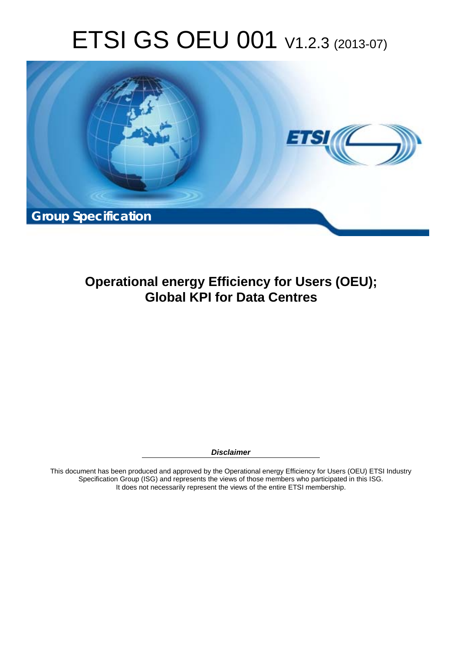# ETSI GS OEU 001 V1.2.3 (2013-07)



**Operational energy Efficiency for Users (OEU); Global KPI for Data Centres** 

*Disclaimer* 

This document has been produced and approved by the Operational energy Efficiency for Users (OEU) ETSI Industry Specification Group (ISG) and represents the views of those members who participated in this ISG. It does not necessarily represent the views of the entire ETSI membership.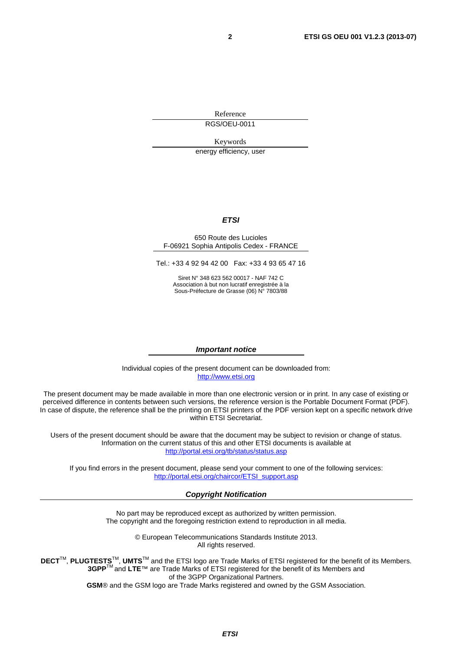Reference RGS/OEU-0011

Keywords

energy efficiency, user

#### *ETSI*

#### 650 Route des Lucioles F-06921 Sophia Antipolis Cedex - FRANCE

Tel.: +33 4 92 94 42 00 Fax: +33 4 93 65 47 16

Siret N° 348 623 562 00017 - NAF 742 C Association à but non lucratif enregistrée à la Sous-Préfecture de Grasse (06) N° 7803/88

#### *Important notice*

Individual copies of the present document can be downloaded from: [http://www.etsi.org](http://www.etsi.org/)

The present document may be made available in more than one electronic version or in print. In any case of existing or perceived difference in contents between such versions, the reference version is the Portable Document Format (PDF). In case of dispute, the reference shall be the printing on ETSI printers of the PDF version kept on a specific network drive within ETSI Secretariat.

Users of the present document should be aware that the document may be subject to revision or change of status. Information on the current status of this and other ETSI documents is available at <http://portal.etsi.org/tb/status/status.asp>

If you find errors in the present document, please send your comment to one of the following services: [http://portal.etsi.org/chaircor/ETSI\\_support.asp](http://portal.etsi.org/chaircor/ETSI_support.asp)

#### *Copyright Notification*

No part may be reproduced except as authorized by written permission. The copyright and the foregoing restriction extend to reproduction in all media.

> © European Telecommunications Standards Institute 2013. All rights reserved.

DECT<sup>™</sup>, PLUGTESTS<sup>™</sup>, UMTS<sup>™</sup> and the ETSI logo are Trade Marks of ETSI registered for the benefit of its Members. **3GPP**TM and **LTE**™ are Trade Marks of ETSI registered for the benefit of its Members and of the 3GPP Organizational Partners.

**GSM**® and the GSM logo are Trade Marks registered and owned by the GSM Association.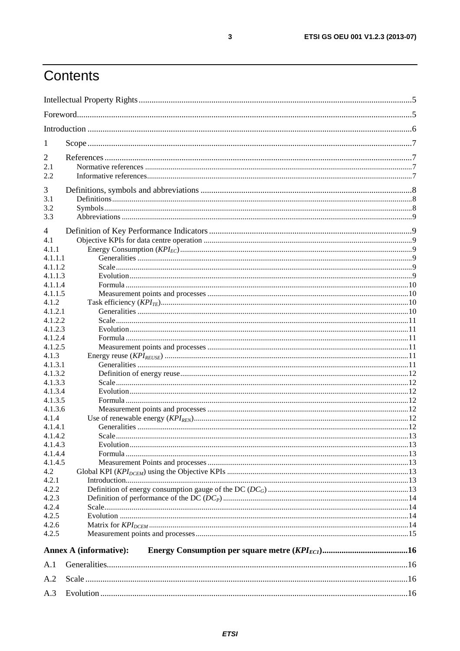# Contents

| 1                  |                               |  |
|--------------------|-------------------------------|--|
|                    |                               |  |
| $\overline{2}$     |                               |  |
| 2.1<br>2.2         |                               |  |
|                    |                               |  |
| 3                  |                               |  |
| 3.1                |                               |  |
| 3.2                |                               |  |
| 3.3                |                               |  |
| 4                  |                               |  |
| 4.1                |                               |  |
| 4.1.1              |                               |  |
| 4.1.1.1            |                               |  |
| 4.1.1.2            |                               |  |
| 4.1.1.3            |                               |  |
| 4.1.1.4            |                               |  |
| 4.1.1.5            |                               |  |
| 4.1.2              |                               |  |
| 4.1.2.1            |                               |  |
| 4.1.2.2            |                               |  |
| 4.1.2.3            |                               |  |
| 4.1.2.4            |                               |  |
| 4.1.2.5            |                               |  |
| 4.1.3              |                               |  |
| 4.1.3.1            |                               |  |
| 4.1.3.2            |                               |  |
| 4.1.3.3            |                               |  |
| 4.1.3.4<br>4.1.3.5 |                               |  |
| 4.1.3.6            |                               |  |
| 4.1.4              |                               |  |
| 4.1.4.1            |                               |  |
| 4.1.4.2            |                               |  |
| 4.1.4.3            |                               |  |
| 4.1.4.4            |                               |  |
| 4.1.4.5            |                               |  |
| 4.2                |                               |  |
| 4.2.1              |                               |  |
| 4.2.2              |                               |  |
| 4.2.3              |                               |  |
| 4.2.4              |                               |  |
| 4.2.5              |                               |  |
| 4.2.6              |                               |  |
| 4.2.5              |                               |  |
|                    | <b>Annex A (informative):</b> |  |
| A.1                |                               |  |
| A.2                |                               |  |
| A.3                |                               |  |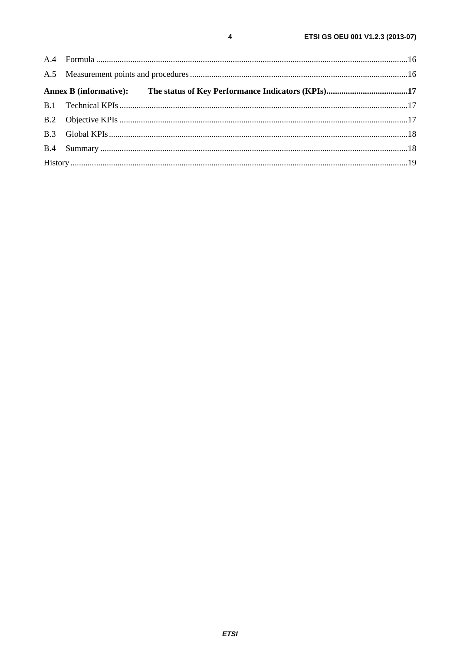$\overline{\mathbf{4}}$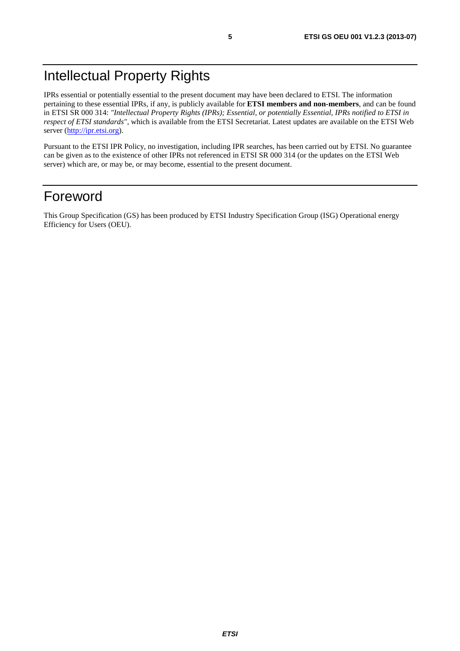# Intellectual Property Rights

IPRs essential or potentially essential to the present document may have been declared to ETSI. The information pertaining to these essential IPRs, if any, is publicly available for **ETSI members and non-members**, and can be found in ETSI SR 000 314: *"Intellectual Property Rights (IPRs); Essential, or potentially Essential, IPRs notified to ETSI in respect of ETSI standards"*, which is available from the ETSI Secretariat. Latest updates are available on the ETSI Web server ([http://ipr.etsi.org\)](http://webapp.etsi.org/IPR/home.asp).

Pursuant to the ETSI IPR Policy, no investigation, including IPR searches, has been carried out by ETSI. No guarantee can be given as to the existence of other IPRs not referenced in ETSI SR 000 314 (or the updates on the ETSI Web server) which are, or may be, or may become, essential to the present document.

### Foreword

This Group Specification (GS) has been produced by ETSI Industry Specification Group (ISG) Operational energy Efficiency for Users (OEU).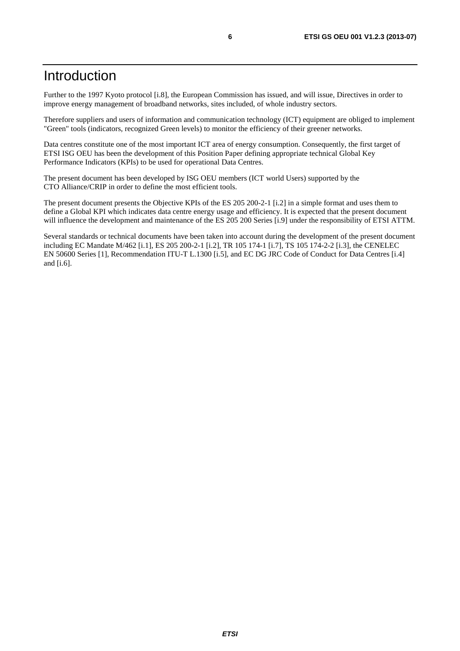### Introduction

Further to the 1997 Kyoto protocol [i.8], the European Commission has issued, and will issue, Directives in order to improve energy management of broadband networks, sites included, of whole industry sectors.

Therefore suppliers and users of information and communication technology (ICT) equipment are obliged to implement "Green" tools (indicators, recognized Green levels) to monitor the efficiency of their greener networks.

Data centres constitute one of the most important ICT area of energy consumption. Consequently, the first target of ETSI ISG OEU has been the development of this Position Paper defining appropriate technical Global Key Performance Indicators (KPIs) to be used for operational Data Centres.

The present document has been developed by ISG OEU members (ICT world Users) supported by the CTO Alliance/CRIP in order to define the most efficient tools.

The present document presents the Objective KPIs of the ES 205 200-2-1 [i.2] in a simple format and uses them to define a Global KPI which indicates data centre energy usage and efficiency. It is expected that the present document will influence the development and maintenance of the ES 205 200 Series [i.9] under the responsibility of ETSI ATTM.

Several standards or technical documents have been taken into account during the development of the present document including EC Mandate M/462 [i.1], ES 205 200-2-1 [i.2], TR 105 174-1 [i.7], TS 105 174-2-2 [i.3], the CENELEC EN 50600 Series [1], Recommendation ITU-T L.1300 [i.5], and EC DG JRC Code of Conduct for Data Centres [i.4] and [i.6].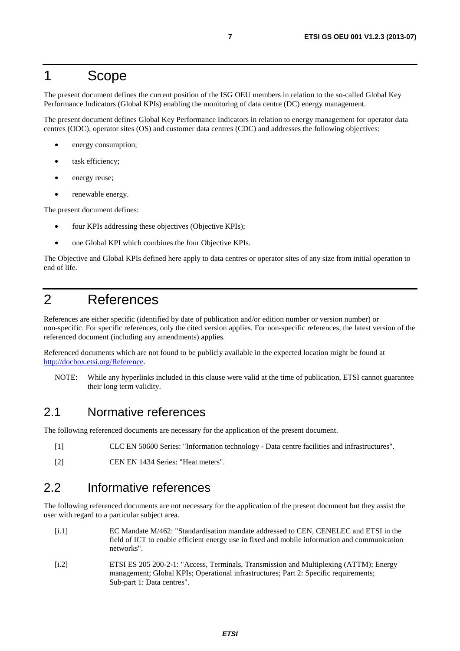### 1 Scope

The present document defines the current position of the ISG OEU members in relation to the so-called Global Key Performance Indicators (Global KPIs) enabling the monitoring of data centre (DC) energy management.

The present document defines Global Key Performance Indicators in relation to energy management for operator data centres (ODC), operator sites (OS) and customer data centres (CDC) and addresses the following objectives:

- energy consumption;
- task efficiency;
- energy reuse;
- renewable energy.

The present document defines:

- four KPIs addressing these objectives (Objective KPIs);
- one Global KPI which combines the four Objective KPIs.

The Objective and Global KPIs defined here apply to data centres or operator sites of any size from initial operation to end of life.

# 2 References

References are either specific (identified by date of publication and/or edition number or version number) or non-specific. For specific references, only the cited version applies. For non-specific references, the latest version of the referenced document (including any amendments) applies.

Referenced documents which are not found to be publicly available in the expected location might be found at [http://docbox.etsi.org/Reference.](http://docbox.etsi.org/Reference)

NOTE: While any hyperlinks included in this clause were valid at the time of publication, ETSI cannot guarantee their long term validity.

### 2.1 Normative references

The following referenced documents are necessary for the application of the present document.

- [1] CLC EN 50600 Series: "Information technology Data centre facilities and infrastructures".
- [2] CEN EN 1434 Series: "Heat meters".

### 2.2 Informative references

The following referenced documents are not necessary for the application of the present document but they assist the user with regard to a particular subject area.

- [i.1] EC Mandate M/462: "Standardisation mandate addressed to CEN, CENELEC and ETSI in the field of ICT to enable efficient energy use in fixed and mobile information and communication networks".
- [i.2] ETSI ES 205 200-2-1: "Access, Terminals, Transmission and Multiplexing (ATTM); Energy management; Global KPIs; Operational infrastructures; Part 2: Specific requirements; Sub-part 1: Data centres".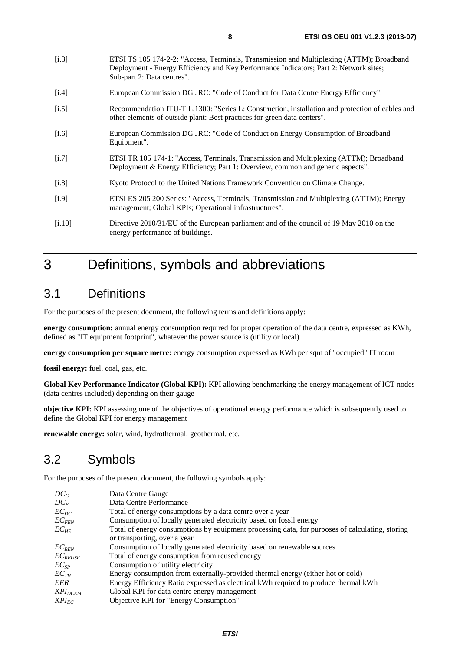[i.3] ETSI TS 105 174-2-2: "Access, Terminals, Transmission and Multiplexing (ATTM); Broadband

|                    | Deployment - Energy Efficiency and Key Performance Indicators; Part 2: Network sites;<br>Sub-part 2: Data centres".                                                         |
|--------------------|-----------------------------------------------------------------------------------------------------------------------------------------------------------------------------|
| [i.4]              | European Commission DG JRC: "Code of Conduct for Data Centre Energy Efficiency".                                                                                            |
| [i.5]              | Recommendation ITU-T L.1300: "Series L: Construction, installation and protection of cables and<br>other elements of outside plant: Best practices for green data centers". |
| [i.6]              | European Commission DG JRC: "Code of Conduct on Energy Consumption of Broadband<br>Equipment".                                                                              |
| $\left[1.7\right]$ | ETSI TR 105 174-1: "Access, Terminals, Transmission and Multiplexing (ATTM); Broadband<br>Deployment & Energy Efficiency; Part 1: Overview, common and generic aspects".    |
| [i.8]              | Kyoto Protocol to the United Nations Framework Convention on Climate Change.                                                                                                |
| [i.9]              | ETSI ES 205 200 Series: "Access, Terminals, Transmission and Multiplexing (ATTM); Energy<br>management; Global KPIs; Operational infrastructures".                          |

[i.10] Directive 2010/31/EU of the European parliament and of the council of 19 May 2010 on the energy performance of buildings.

# 3 Definitions, symbols and abbreviations

### 3.1 Definitions

For the purposes of the present document, the following terms and definitions apply:

**energy consumption:** annual energy consumption required for proper operation of the data centre, expressed as KWh, defined as "IT equipment footprint", whatever the power source is (utility or local)

**energy consumption per square metre:** energy consumption expressed as KWh per sqm of "occupied" IT room

**fossil energy:** fuel, coal, gas, etc.

**Global Key Performance Indicator (Global KPI):** KPI allowing benchmarking the energy management of ICT nodes (data centres included) depending on their gauge

**objective KPI:** KPI assessing one of the objectives of operational energy performance which is subsequently used to define the Global KPI for energy management

**renewable energy:** solar, wind, hydrothermal, geothermal, etc.

### 3.2 Symbols

For the purposes of the present document, the following symbols apply:

| $DC_G$       | Data Centre Gauge                                                                               |
|--------------|-------------------------------------------------------------------------------------------------|
| $DC_P$       | Data Centre Performance                                                                         |
| $EC_{DC}$    | Total of energy consumptions by a data centre over a year                                       |
| $EC_{FEN}$   | Consumption of locally generated electricity based on fossil energy                             |
| $EC_{HF}$    | Total of energy consumptions by equipment processing data, for purposes of calculating, storing |
|              | or transporting, over a year                                                                    |
| $EC_{REN}$   | Consumption of locally generated electricity based on renewable sources                         |
| $EC_{REUSE}$ | Total of energy consumption from reused energy                                                  |
| $EC_{SP}$    | Consumption of utility electricity                                                              |
| $EC_{TH}$    | Energy consumption from externally-provided thermal energy (either hot or cold)                 |
| EER          | Energy Efficiency Ratio expressed as electrical kWh required to produce thermal kWh             |
| $KPI_{DCEM}$ | Global KPI for data centre energy management                                                    |
| $KPI_{FC}$   | Objective KPI for "Energy Consumption"                                                          |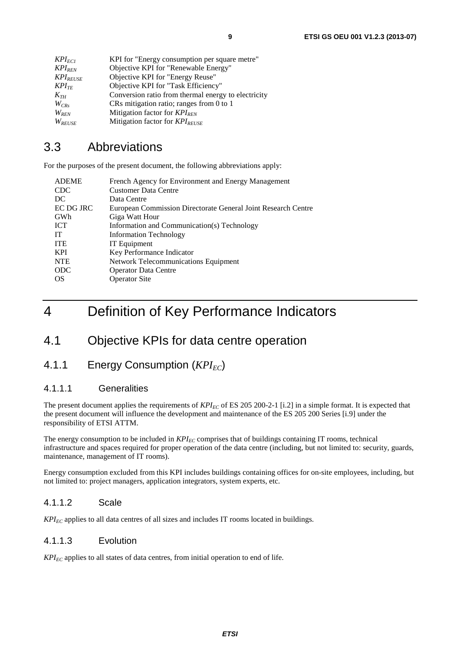### 3.3 Abbreviations

For the purposes of the present document, the following abbreviations apply:

| <b>ADEME</b> | French Agency for Environment and Energy Management           |
|--------------|---------------------------------------------------------------|
| <b>CDC</b>   | <b>Customer Data Centre</b>                                   |
| DC           | Data Centre                                                   |
| EC DG JRC    | European Commission Directorate General Joint Research Centre |
| GWh          | Giga Watt Hour                                                |
| <b>ICT</b>   | Information and Communication(s) Technology                   |
| <b>IT</b>    | <b>Information Technology</b>                                 |
| <b>ITE</b>   | IT Equipment                                                  |
| <b>KPI</b>   | Key Performance Indicator                                     |
| <b>NTE</b>   | Network Telecommunications Equipment                          |
| <b>ODC</b>   | <b>Operator Data Centre</b>                                   |
| OS           | <b>Operator Site</b>                                          |

# 4 Definition of Key Performance Indicators

### 4.1 Objective KPIs for data centre operation

### 4.1.1 Energy Consumption (*KPI<sub>EC</sub>*)

#### 4.1.1.1 Generalities

The present document applies the requirements of  $KPI_{EC}$  of ES 205 200-2-1 [i.2] in a simple format. It is expected that the present document will influence the development and maintenance of the ES 205 200 Series [i.9] under the responsibility of ETSI ATTM.

The energy consumption to be included in  $KPI_{EC}$  comprises that of buildings containing IT rooms, technical infrastructure and spaces required for proper operation of the data centre (including, but not limited to: security, guards, maintenance, management of IT rooms).

Energy consumption excluded from this KPI includes buildings containing offices for on-site employees, including, but not limited to: project managers, application integrators, system experts, etc.

#### 4.1.1.2 Scale

 $KPI_{EC}$  applies to all data centres of all sizes and includes IT rooms located in buildings.

#### 4.1.1.3 Evolution

 $KPI_{EC}$  applies to all states of data centres, from initial operation to end of life.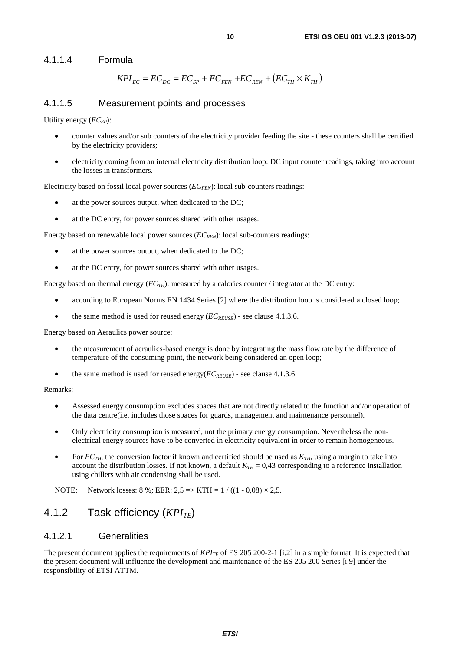4.1.1.4 Formula

$$
KPI_{EC} = EC_{DC} = EC_{SP} + EC_{FEN} + EC_{REN} + (EC_{TH} \times K_{TH})
$$

#### 4.1.1.5 Measurement points and processes

Utility energy (*EC<sub>SP</sub>*):

- counter values and/or sub counters of the electricity provider feeding the site these counters shall be certified by the electricity providers;
- electricity coming from an internal electricity distribution loop: DC input counter readings, taking into account the losses in transformers.

Electricity based on fossil local power sources  $(EC_{FFN})$ : local sub-counters readings:

- at the power sources output, when dedicated to the DC;
- at the DC entry, for power sources shared with other usages.

Energy based on renewable local power sources ( $EC_{REN}$ ): local sub-counters readings:

- at the power sources output, when dedicated to the DC;
- at the DC entry, for power sources shared with other usages.

Energy based on thermal energy ( $EC_{TH}$ ): measured by a calories counter / integrator at the DC entry:

- according to European Norms EN 1434 Series [2] where the distribution loop is considered a closed loop;
- the same method is used for reused energy  $(EC_{REUSE})$  see clause 4.1.3.6.

Energy based on Aeraulics power source:

- the measurement of aeraulics-based energy is done by integrating the mass flow rate by the difference of temperature of the consuming point, the network being considered an open loop;
- the same method is used for reused energy $(EC_{REUSE})$  see clause 4.1.3.6.

#### Remarks:

- Assessed energy consumption excludes spaces that are not directly related to the function and/or operation of the data centre(i.e. includes those spaces for guards, management and maintenance personnel).
- Only electricity consumption is measured, not the primary energy consumption. Nevertheless the nonelectrical energy sources have to be converted in electricity equivalent in order to remain homogeneous.
- For  $EC_{TH}$ , the conversion factor if known and certified should be used as  $K_{TH}$ , using a margin to take into account the distribution losses. If not known, a default  $K<sub>TH</sub> = 0.43$  corresponding to a reference installation using chillers with air condensing shall be used.

NOTE: Network losses:  $8\%$ ; EER:  $2.5 \Rightarrow KTH = 1 / ((1 - 0.08) \times 2.5$ .

### 4.1.2 Task efficiency (*KPI<sub>TE</sub>*)

#### 4.1.2.1 Generalities

The present document applies the requirements of  $KPI_{TE}$  of ES 205 200-2-1 [i.2] in a simple format. It is expected that the present document will influence the development and maintenance of the ES 205 200 Series [i.9] under the responsibility of ETSI ATTM.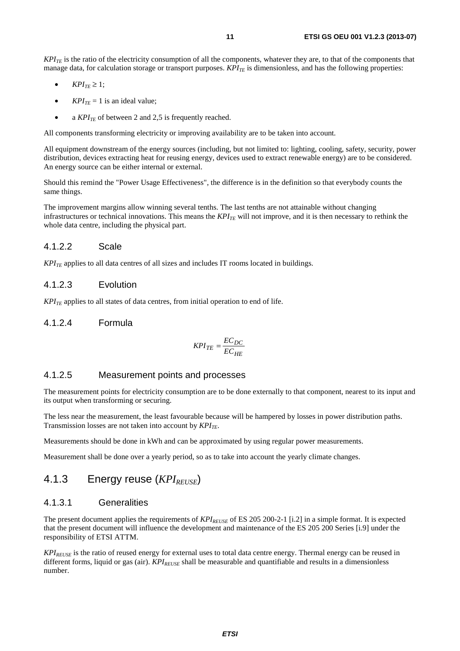$KPI_{TE}$  is the ratio of the electricity consumption of all the components, whatever they are, to that of the components that manage data, for calculation storage or transport purposes. *KPI<sub>TE</sub>* is dimensionless, and has the following properties:

- $KPI_{TF} \geq 1$ :
- $KPI_{TE} = 1$  is an ideal value;
- a  $KPI_{TE}$  of between 2 and 2,5 is frequently reached.

All components transforming electricity or improving availability are to be taken into account.

All equipment downstream of the energy sources (including, but not limited to: lighting, cooling, safety, security, power distribution, devices extracting heat for reusing energy, devices used to extract renewable energy) are to be considered. An energy source can be either internal or external.

Should this remind the "Power Usage Effectiveness", the difference is in the definition so that everybody counts the same things.

The improvement margins allow winning several tenths. The last tenths are not attainable without changing infrastructures or technical innovations. This means the  $KPI_{TF}$  will not improve, and it is then necessary to rethink the whole data centre, including the physical part.

#### 4.1.2.2 Scale

 $KPI_{TE}$  applies to all data centres of all sizes and includes IT rooms located in buildings.

#### 4.1.2.3 Evolution

 $KPI_{TF}$  applies to all states of data centres, from initial operation to end of life.

#### 4.1.2.4 Formula

$$
KPI_{TE} = \frac{EC_{DC}}{EC_{HE}}
$$

#### 4.1.2.5 Measurement points and processes

The measurement points for electricity consumption are to be done externally to that component, nearest to its input and its output when transforming or securing.

The less near the measurement, the least favourable because will be hampered by losses in power distribution paths. Transmission losses are not taken into account by  $KPI_{TF}$ .

Measurements should be done in kWh and can be approximated by using regular power measurements.

Measurement shall be done over a yearly period, so as to take into account the yearly climate changes.

### 4.1.3 Energy reuse (*KPI<sub>REUSE</sub>*)

#### 4.1.3.1 Generalities

The present document applies the requirements of  $KPI_{REUSE}$  of ES 205 200-2-1 [i.2] in a simple format. It is expected that the present document will influence the development and maintenance of the ES 205 200 Series [i.9] under the responsibility of ETSI ATTM.

*KPIREUSE* is the ratio of reused energy for external uses to total data centre energy. Thermal energy can be reused in different forms, liquid or gas (air). *KPI<sub>REUSE</sub>* shall be measurable and quantifiable and results in a dimensionless number.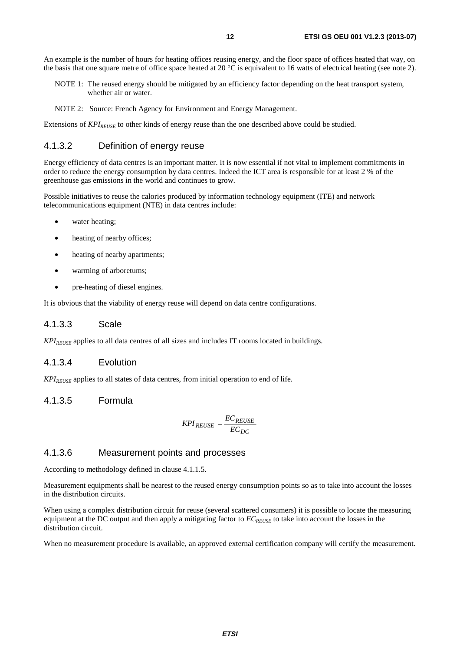An example is the number of hours for heating offices reusing energy, and the floor space of offices heated that way, on the basis that one square metre of office space heated at 20  $^{\circ}$ C is equivalent to 16 watts of electrical heating (see note 2).

- NOTE 1: The reused energy should be mitigated by an efficiency factor depending on the heat transport system, whether air or water.
- NOTE 2: Source: French Agency for Environment and Energy Management.

Extensions of  $KPI_{REUSE}$  to other kinds of energy reuse than the one described above could be studied.

#### 4.1.3.2 Definition of energy reuse

Energy efficiency of data centres is an important matter. It is now essential if not vital to implement commitments in order to reduce the energy consumption by data centres. Indeed the ICT area is responsible for at least 2 % of the greenhouse gas emissions in the world and continues to grow.

Possible initiatives to reuse the calories produced by information technology equipment (ITE) and network telecommunications equipment (NTE) in data centres include:

- water heating;
- heating of nearby offices;
- heating of nearby apartments;
- warming of arboretums;
- pre-heating of diesel engines.

It is obvious that the viability of energy reuse will depend on data centre configurations.

#### 4.1.3.3 Scale

*KPI<sub>REUSE</sub>* applies to all data centres of all sizes and includes IT rooms located in buildings.

#### 4.1.3.4 Evolution

*KPIREUSE* applies to all states of data centres, from initial operation to end of life.

#### 4.1.3.5 Formula

$$
KPI_{REUSE} = \frac{EC_{REUSE}}{EC_{DC}}
$$

#### 4.1.3.6 Measurement points and processes

According to methodology defined in clause 4.1.1.5.

Measurement equipments shall be nearest to the reused energy consumption points so as to take into account the losses in the distribution circuits.

When using a complex distribution circuit for reuse (several scattered consumers) it is possible to locate the measuring equipment at the DC output and then apply a mitigating factor to  $EC_{REUSE}$  to take into account the losses in the distribution circuit.

When no measurement procedure is available, an approved external certification company will certify the measurement.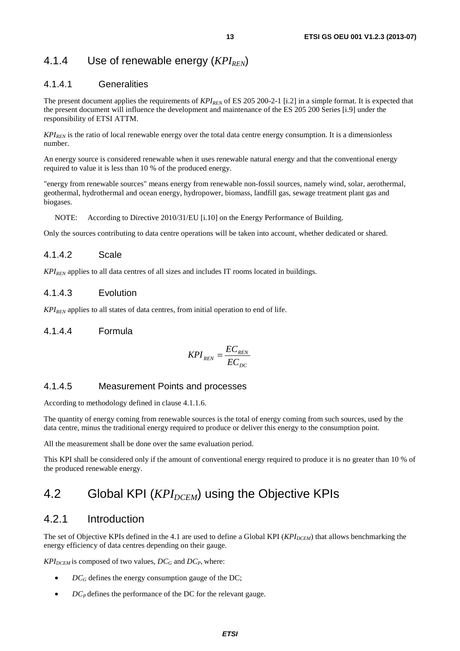### 4.1.4 Use of renewable energy (*KPI<sub>REN</sub>*)

#### 4.1.4.1 Generalities

The present document applies the requirements of *KPI<sub>REN</sub>* of ES 205 200-2-1 [i.2] in a simple format. It is expected that the present document will influence the development and maintenance of the ES 205 200 Series [i.9] under the responsibility of ETSI ATTM.

*KPI<sub>REN</sub>* is the ratio of local renewable energy over the total data centre energy consumption. It is a dimensionless number.

An energy source is considered renewable when it uses renewable natural energy and that the conventional energy required to value it is less than 10 % of the produced energy.

"energy from renewable sources" means energy from renewable non-fossil sources, namely wind, solar, aerothermal, geothermal, hydrothermal and ocean energy, hydropower, biomass, landfill gas, sewage treatment plant gas and biogases.

NOTE: According to Directive 2010/31/EU [i.10] on the Energy Performance of Building.

Only the sources contributing to data centre operations will be taken into account, whether dedicated or shared.

#### 4.1.4.2 Scale

*KPIREN* applies to all data centres of all sizes and includes IT rooms located in buildings.

#### 4.1.4.3 Evolution

 $KPI_{RFN}$  applies to all states of data centres, from initial operation to end of life.

#### 4.1.4.4 Formula

$$
KPI_{REN} = \frac{EC_{REN}}{EC_{DC}}
$$

#### 4.1.4.5 Measurement Points and processes

According to methodology defined in clause 4.1.1.6.

The quantity of energy coming from renewable sources is the total of energy coming from such sources, used by the data centre, minus the traditional energy required to produce or deliver this energy to the consumption point.

All the measurement shall be done over the same evaluation period.

This KPI shall be considered only if the amount of conventional energy required to produce it is no greater than 10 % of the produced renewable energy.

### 4.2 Global KPI (*KPI<sub>DCEM</sub>*) using the Objective KPIs

### 4.2.1 Introduction

The set of Objective KPIs defined in the 4.1 are used to define a Global KPI (*KPI<sub>DCEM</sub>*) that allows benchmarking the energy efficiency of data centres depending on their gauge.

 $KPI_{DCEM}$  is composed of two values,  $DC_G$  and  $DC_P$ , where:

- $DC_G$  defines the energy consumption gauge of the DC;
- $DC_P$  defines the performance of the DC for the relevant gauge.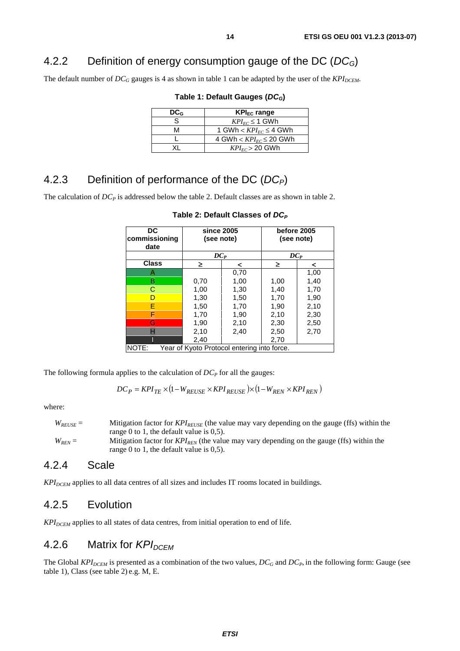### 4.2.2 Definition of energy consumption gauge of the DC (*DCG*)

The default number of  $DC_G$  gauges is 4 as shown in table 1 can be adapted by the user of the  $KPI_{DCEM}$ .

| DC <sub>G</sub> | $KPI_{EC}$ range                          |
|-----------------|-------------------------------------------|
| S.              | $KPI_{EC} \leq 1$ GWh                     |
| M               | 1 GWh $< KPI_{FC} \leq 4$ GWh             |
|                 | 4 GWh $<$ KPI <sub>EC</sub> $\leq$ 20 GWh |
|                 | $KPI_{FC}$ > 20 GWh                       |

**Table 1: Default Gauges (***DCG***)** 

### 4.2.3 Definition of performance of the DC (*DCP*)

The calculation of  $DC_P$  is addressed below the table 2. Default classes are as shown in table 2.

| DC<br>commissioning<br>date | since 2005<br>(see note) |                                             |      | before 2005<br>(see note) |
|-----------------------------|--------------------------|---------------------------------------------|------|---------------------------|
|                             | $DC_P$                   |                                             |      | $DC_P$                    |
| <b>Class</b>                | ≥.                       | ≺                                           | ≥    | <                         |
| Α                           |                          | 0,70                                        |      | 1,00                      |
| B                           | 0.70                     | 1,00                                        | 1,00 | 1,40                      |
| C                           | 1,00                     | 1,30                                        | 1,40 | 1,70                      |
| D                           | 1,30                     | 1,50                                        | 1,70 | 1,90                      |
| Е                           | 1,50                     | 1,70                                        | 1,90 | 2,10                      |
| F                           | 1,70                     | 1,90                                        | 2,10 | 2,30                      |
| G                           | 1,90                     | 2,10                                        | 2,30 | 2,50                      |
| н                           | 2,10                     | 2,40                                        | 2,50 | 2,70                      |
|                             | 2,40                     |                                             | 2,70 |                           |
| NOTE:                       |                          | Year of Kyoto Protocol entering into force. |      |                           |

Table 2: Default Classes of  $DC_P$ 

The following formula applies to the calculation of  $DC<sub>P</sub>$  for all the gauges:

$$
DC_P = KPI_{TE} \times (1 - W_{REUSE} \times KPI_{REUSE}) \times (1 - W_{REN} \times KPI_{REN})
$$

where:

| $W_{REUSE}=$ | Mitigation factor for $KPI_{REUSE}$ (the value may vary depending on the gauge (ffs) within the |
|--------------|-------------------------------------------------------------------------------------------------|
|              | range 0 to 1, the default value is $0.5$ ).                                                     |
| $W_{RFN} =$  | Mitigation factor for $KPI_{RFN}$ (the value may vary depending on the gauge (ffs) within the   |
|              | range 0 to 1, the default value is $0.5$ ).                                                     |

#### 4.2.4 Scale

KPI<sub>DCEM</sub> applies to all data centres of all sizes and includes IT rooms located in buildings.

#### 4.2.5 Evolution

 $KPI_{DCEM}$  applies to all states of data centres, from initial operation to end of life.

### 4.2.6 Matrix for *KPI<sub>DCFM</sub>*

The Global  $KPI_{DCEM}$  is presented as a combination of the two values,  $DC_G$  and  $DC_P$ , in the following form: Gauge (see table 1), Class (see table 2) e.g. M, E.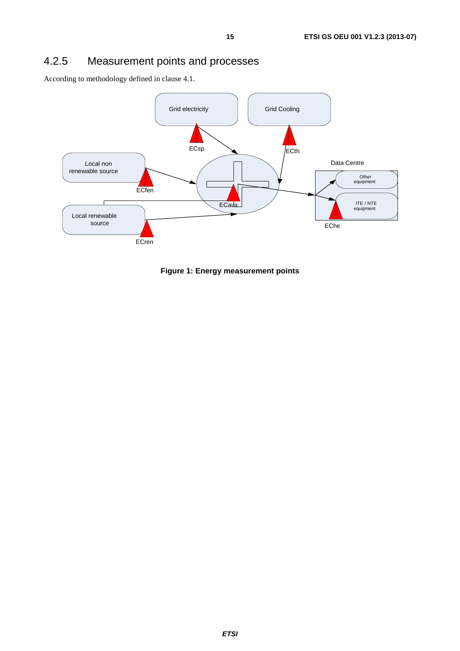### 4.2.5 Measurement points and processes

According to methodology defined in clause 4.1.



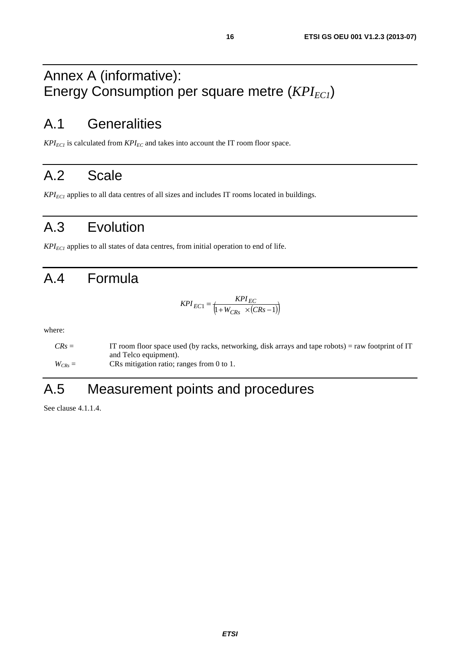# Annex A (informative): Energy Consumption per square metre (*KPI<sub>EC1</sub>*)

# A.1 Generalities

 $KPI_{ECI}$  is calculated from  $KPI_{EC}$  and takes into account the IT room floor space.

# A.2 Scale

 $KPI_{EC1}$  applies to all data centres of all sizes and includes IT rooms located in buildings.

# A.3 Evolution

 $KPI_{ECI}$  applies to all states of data centres, from initial operation to end of life.

# A.4 Formula

$$
KPI_{EC1} = \frac{KPI_{EC}}{\left(1 + W_{CRs} \times (CRs - 1)\right)}
$$

where:

| $CRs =$     | IT room floor space used (by racks, networking, disk arrays and tape robots) = raw footprint of IT |
|-------------|----------------------------------------------------------------------------------------------------|
|             | and Telco equipment).                                                                              |
| $W_{CRs} =$ | CRs mitigation ratio; ranges from 0 to 1.                                                          |

# A.5 Measurement points and procedures

See clause 4.1.1.4.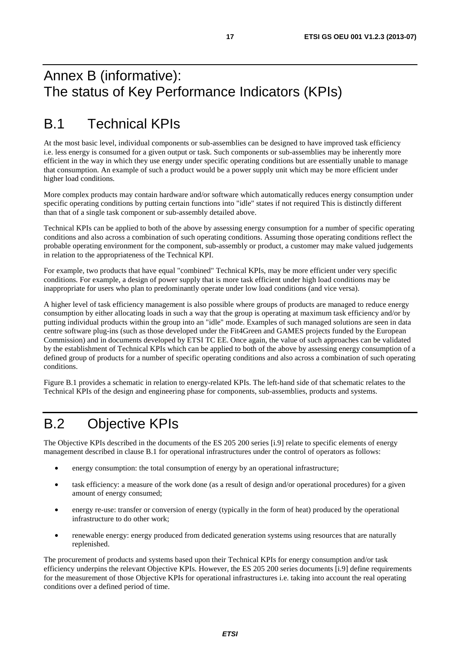# Annex B (informative): The status of Key Performance Indicators (KPIs)

# B.1 Technical KPIs

At the most basic level, individual components or sub-assemblies can be designed to have improved task efficiency i.e. less energy is consumed for a given output or task. Such components or sub-assemblies may be inherently more efficient in the way in which they use energy under specific operating conditions but are essentially unable to manage that consumption. An example of such a product would be a power supply unit which may be more efficient under higher load conditions.

More complex products may contain hardware and/or software which automatically reduces energy consumption under specific operating conditions by putting certain functions into "idle" states if not required This is distinctly different than that of a single task component or sub-assembly detailed above.

Technical KPIs can be applied to both of the above by assessing energy consumption for a number of specific operating conditions and also across a combination of such operating conditions. Assuming those operating conditions reflect the probable operating environment for the component, sub-assembly or product, a customer may make valued judgements in relation to the appropriateness of the Technical KPI.

For example, two products that have equal "combined" Technical KPIs, may be more efficient under very specific conditions. For example, a design of power supply that is more task efficient under high load conditions may be inappropriate for users who plan to predominantly operate under low load conditions (and vice versa).

A higher level of task efficiency management is also possible where groups of products are managed to reduce energy consumption by either allocating loads in such a way that the group is operating at maximum task efficiency and/or by putting individual products within the group into an "idle" mode. Examples of such managed solutions are seen in data centre software plug-ins (such as those developed under the Fit4Green and GAMES projects funded by the European Commission) and in documents developed by ETSI TC EE. Once again, the value of such approaches can be validated by the establishment of Technical KPIs which can be applied to both of the above by assessing energy consumption of a defined group of products for a number of specific operating conditions and also across a combination of such operating conditions.

Figure B.1 provides a schematic in relation to energy-related KPIs. The left-hand side of that schematic relates to the Technical KPIs of the design and engineering phase for components, sub-assemblies, products and systems.

# B.2 Objective KPIs

The Objective KPIs described in the documents of the ES 205 200 series [i.9] relate to specific elements of energy management described in clause B.1 for operational infrastructures under the control of operators as follows:

- energy consumption: the total consumption of energy by an operational infrastructure;
- task efficiency: a measure of the work done (as a result of design and/or operational procedures) for a given amount of energy consumed;
- energy re-use: transfer or conversion of energy (typically in the form of heat) produced by the operational infrastructure to do other work;
- renewable energy: energy produced from dedicated generation systems using resources that are naturally replenished.

The procurement of products and systems based upon their Technical KPIs for energy consumption and/or task efficiency underpins the relevant Objective KPIs. However, the ES 205 200 series documents [i.9] define requirements for the measurement of those Objective KPIs for operational infrastructures i.e. taking into account the real operating conditions over a defined period of time.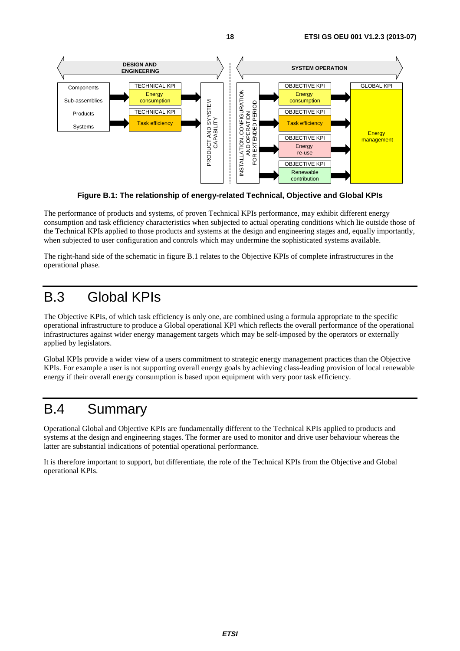

**Figure B.1: The relationship of energy-related Technical, Objective and Global KPIs** 

The performance of products and systems, of proven Technical KPIs performance, may exhibit different energy consumption and task efficiency characteristics when subjected to actual operating conditions which lie outside those of the Technical KPIs applied to those products and systems at the design and engineering stages and, equally importantly, when subjected to user configuration and controls which may undermine the sophisticated systems available.

The right-hand side of the schematic in figure B.1 relates to the Objective KPIs of complete infrastructures in the operational phase.

# B.3 Global KPIs

The Objective KPIs, of which task efficiency is only one, are combined using a formula appropriate to the specific operational infrastructure to produce a Global operational KPI which reflects the overall performance of the operational infrastructures against wider energy management targets which may be self-imposed by the operators or externally applied by legislators.

Global KPIs provide a wider view of a users commitment to strategic energy management practices than the Objective KPIs. For example a user is not supporting overall energy goals by achieving class-leading provision of local renewable energy if their overall energy consumption is based upon equipment with very poor task efficiency.

# B.4 Summary

Operational Global and Objective KPIs are fundamentally different to the Technical KPIs applied to products and systems at the design and engineering stages. The former are used to monitor and drive user behaviour whereas the latter are substantial indications of potential operational performance.

It is therefore important to support, but differentiate, the role of the Technical KPIs from the Objective and Global operational KPIs.